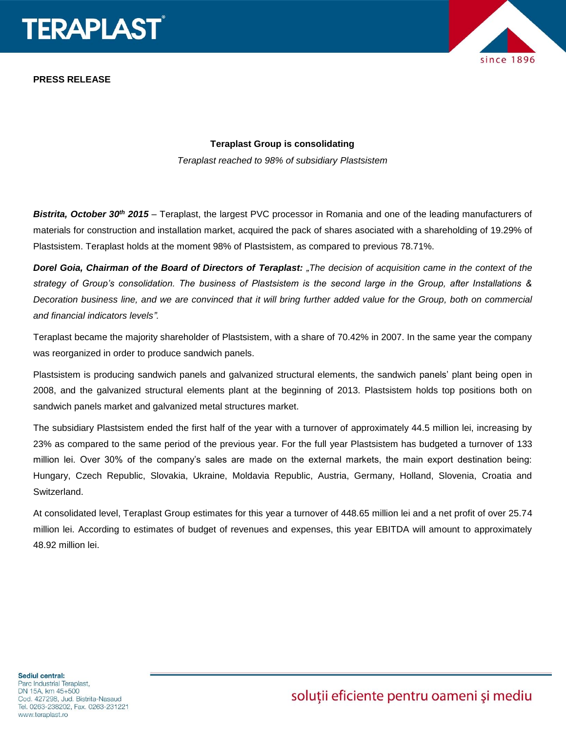

**PRESS RELEASE**



## **Teraplast Group is consolidating**

*Teraplast reached to 98% of subsidiary Plastsistem*

*Bistrita, October 30th 2015* – Teraplast, the largest PVC processor in Romania and one of the leading manufacturers of materials for construction and installation market, acquired the pack of shares asociated with a shareholding of 19.29% of Plastsistem. Teraplast holds at the moment 98% of Plastsistem, as compared to previous 78.71%.

*Dorel Goia, Chairman of the Board of Directors of Teraplast: "The decision of acquisition came in the context of the strategy of Group's consolidation. The business of Plastsistem is the second large in the Group, after Installations & Decoration business line, and we are convinced that it will bring further added value for the Group, both on commercial and financial indicators levels".* 

Teraplast became the majority shareholder of Plastsistem, with a share of 70.42% in 2007. In the same year the company was reorganized in order to produce sandwich panels.

Plastsistem is producing sandwich panels and galvanized structural elements, the sandwich panels' plant being open in 2008, and the galvanized structural elements plant at the beginning of 2013. Plastsistem holds top positions both on sandwich panels market and galvanized metal structures market.

The subsidiary Plastsistem ended the first half of the year with a turnover of approximately 44.5 million lei, increasing by 23% as compared to the same period of the previous year. For the full year Plastsistem has budgeted a turnover of 133 million lei. Over 30% of the company's sales are made on the external markets, the main export destination being: Hungary, Czech Republic, Slovakia, Ukraine, Moldavia Republic, Austria, Germany, Holland, Slovenia, Croatia and Switzerland.

At consolidated level, Teraplast Group estimates for this year a turnover of 448.65 million lei and a net profit of over 25.74 million lei. According to estimates of budget of revenues and expenses, this year EBITDA will amount to approximately 48.92 million lei.